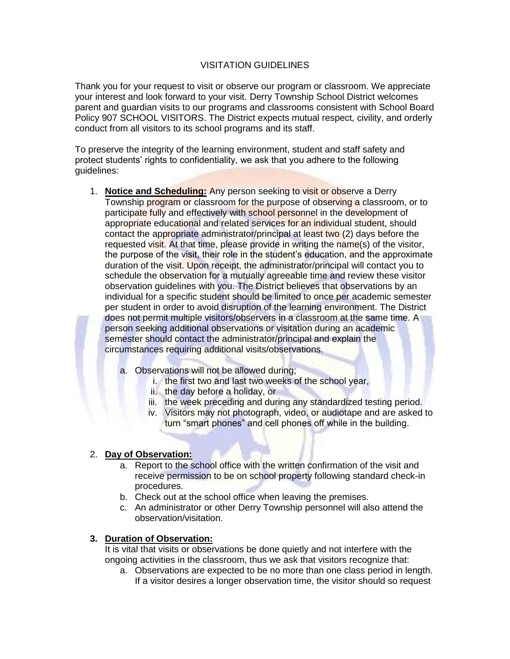## VISITATION GUIDELINES

Thank you for your request to visit or observe our program or classroom. We appreciate your interest and look forward to your visit. Derry Township School District welcomes parent and guardian visits to our programs and classrooms consistent with School Board Policy 907 SCHOOL VISITORS. The District expects mutual respect, civility, and orderly conduct from all visitors to its school programs and its staff.

To preserve the integrity of the learning environment, student and staff safety and protect students' rights to confidentiality, we ask that you adhere to the following guidelines:

- 1. **Notice and Scheduling:** Any person seeking to visit or observe a Derry Township program or classroom for the purpose of observing a classroom, or to participate fully and effectively with school personnel in the development of appropriate educational and related services for an individual student, should contact the appropriate administrator/principal at least two (2) days before the requested visit. At that time, please provide in writing the name(s) of the visitor, the purpose of the visit, their role in the student's education, and the approximate duration of the visit. Upon receipt, the administrator/principal will contact you to schedule the observation for a mutually agreeable time and review these visitor observation guidelines with you. The District believes that observations by an individual for a specific student should be limited to once per academic semester per student in order to avoid disruption of the learning environment. The District does not permit multiple visitors/observers in a classroom at the same time. A person seeking additional observations or visitation during an academic semester should contact the administrator/principal and explain the circumstances requiring additional visits/observations.
	- a. Observations will not be allowed during;
		- i. the first two and last two weeks of the school year,
		- ii. the day before a holiday, or
		- iii. the week preceding and during any standardized testing period.
		- iv. Visitors may not photograph, video, or audiotape and are asked to turn "smart phones" and cell phones off while in the building.

# 2. **Day of Observation:**

- a. Report to the school office with the written confirmation of the visit and receive permission to be on school property following standard check-in procedures.
- b. Check out at the school office when leaving the premises.
- c. An administrator or other Derry Township personnel will also attend the observation/visitation.

# **3. Duration of Observation:**

It is vital that visits or observations be done quietly and not interfere with the ongoing activities in the classroom, thus we ask that visitors recognize that:

a. Observations are expected to be no more than one class period in length. If a visitor desires a longer observation time, the visitor should so request